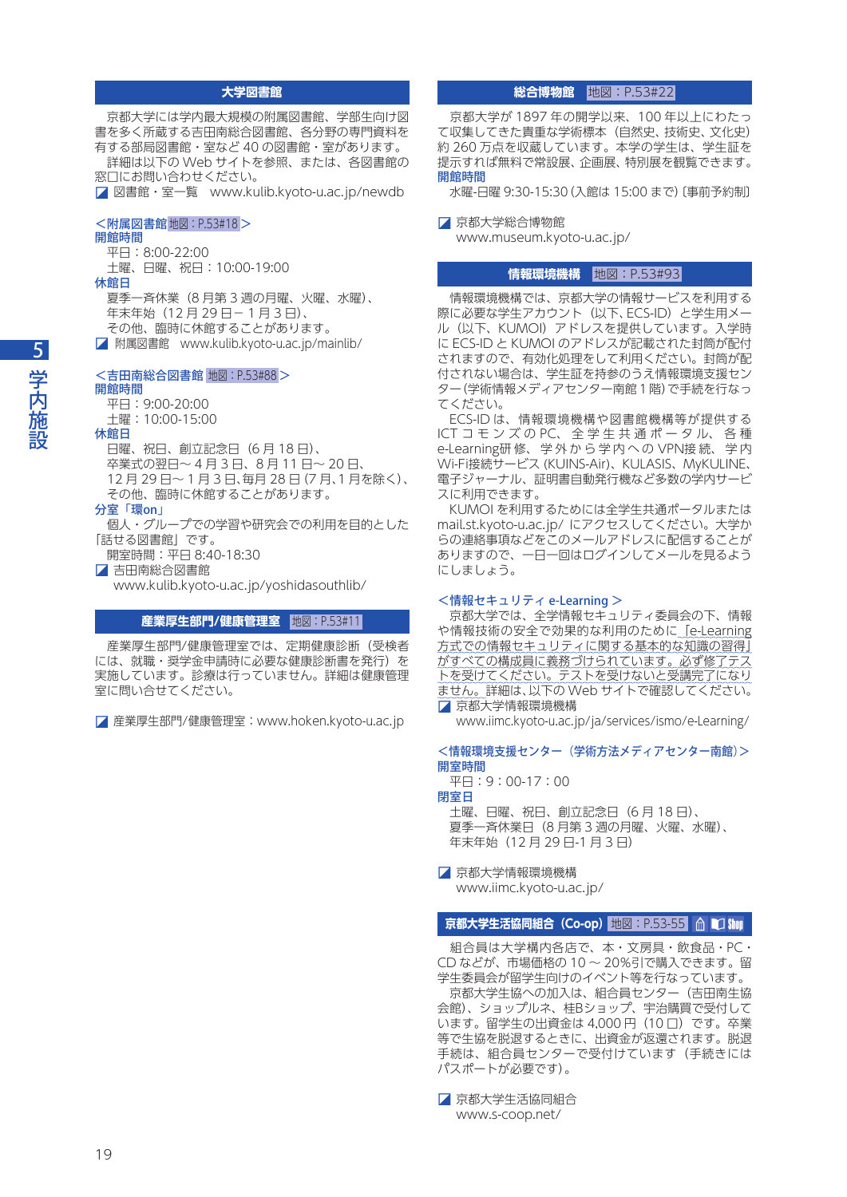## **大学図書館**

 京都大学には学内最大規模の附属図書館、学部生向け図 書を多く所蔵する吉田南総合図書館、各分野の専門資料を 有する部局図書館・室など 40 の図書館・室があります。 詳細は以下の Web サイトを参照、または、各図書館の

窓口にお問い合わせください。 ◪ 図書館・室一覧 www.kulib.kyoto-u.ac.jp/newdb

## <附属図書館地図:P.53#18 >

## 開館時間

平日:8:00-22:00

土曜、日曜、祝日:10:00-19:00

休館日

- 夏季一斉休業(8 月第 3 週の月曜、火曜、水曜)、 年末年始 (12月29日-1月3日)、 その他、臨時に休館することがあります。
- 
- ◪ 附属図書館 www.kulib.kyoto-u.ac.jp/mainlib/

## <吉田南総合図書館 地図:P.53#88 >

# 開館時間

 平日:9:00-20:00 土曜:10:00-15:00

休館日

 日曜、祝日、創立記念日(6 月 18 日)、 卒業式の翌日〜 4 月 3 日、8 月 11 日〜 20 日、 12 月 29 日〜 1 月 3 日、毎月 28 日(7 月、1 月を除く)、 その他、臨時に休館することがあります。

#### 分室「環on」

 個人・グループでの学習や研究会での利用を目的とした 「話せる図書館」です。

開室時間:平日 8:40-18:30

◪ 吉田南総合図書館

www.kulib.kyoto-u.ac.jp/yoshidasouthlib/

#### **産業厚生部門/健康管理室** 地図:P.53#11

 産業厚生部門/健康管理室では、定期健康診断(受検者 には、就職・奨学金申請時に必要な健康診断書を発行)を 実施しています。診療は行っていません。詳細は健康管理 室に問い合せてください。

◪ 産業厚生部門/健康管理室:www.hoken.kyoto-u.ac.jp

## ■ <mark>総合博物館 |</mark> 地図:P.53#22

 京都大学が 1897 年の開学以来、100 年以上にわたっ て収集してきた貴重な学術標本(自然史、技術史、文化史) 約 260 万点を収蔵しています。本学の学生は、学生証を 提示すれば無料で常設展、企画展、特別展を観覧できます。 開館時間

水曜-日曜 9:30-15:30(入館は 15:00 まで)〔事前予約制〕

◪ 京都大学総合博物館 www.museum.kyoto-u.ac.jp/

## **情報環境機構**  地図:P.53#93

 情報環境機構では、京都大学の情報サービスを利用する 際に必要な学生アカウント(以下、ECS-ID)と学生用メー ル(以下、KUMOI)アドレスを提供しています。入学時 に ECS-ID と KUMOI のアドレスが記載された封筒が配付 されますので、有効化処理をして利用ください。封筒が配 付されない場合は、学生証を持参のうえ情報環境支援セン ター(学術情報メディアセンター南館 1 階)で手続を行なっ てください。

 ECS-ID は、情報環境機構や図書館機構等が提供する ICT コ モ ン ズ の PC、全 学 生 共 通 ポ ー タ ル、 各 種 e-Learning研 修、 学 外 か ら 学 内 へ の VPN接 続、 学 内 Wi-Fi接続サービス (KUINS-Air)、KULASIS、MyKULINE、 電子ジャーナル、証明書自動発行機など多数の学内サービ スに利用できます。

 KUMOI を利用するためには全学生共通ポータルまたは mail.st.kyoto-u.ac.jp/ にアクセスしてください。大学か らの連絡事項などをこのメールアドレスに配信することが ありますので、一日一回はログインしてメールを見るよう にしましょう。

#### <情報セキュリティ e-Learning >

 京都大学では、全学情報セキュリティ委員会の下、情報 や情報技術の安全で効果的な利用のために「e-Learning 方式での情報セキュリティに関する基本的な知識の習得」 かすべての構成員に義務づけられています。必ず修了テス トを受けてください。テストを受けないと受講完了になり ません。詳細は、以下の Web サイトで確認してください。 ◪ 京都大学情報環境機構

www.iimc.kyoto-u.ac.jp/ja/services/ismo/e-Learning/

<情報環境支援センター(学術方法メディアセンター南館)> 開室時間

平日:9:00-17:00

#### 閉室日

 土曜、日曜、祝日、創立記念日(6 月 18 日)、 夏季一斉休業日(8 月第 3 週の月曜、火曜、水曜)、 年末年始(12 月 29 日-1 月 3 日)

◪ 京都大学情報環境機構 www.iimc.kyoto-u.ac.jp/

## **京都大学生活協同組合(Co-op)**  地図:P.53-55

 組合員は大学構内各店で、本・文房具・飲食品・PC・ CD などが、市場価格の 10 〜 20%引で購入できます。留 学生委員会が留学生向けのイベント等を行なっています。 京都大学生協への加入は、組合員センター(吉田南生協 会館)、ショップルネ、桂Bショップ、宇治購買で受付して います。留学生の出資金は 4,000 円(10 口)です。卒業 等で生協を脱退するときに、出資金が返還されます。脱退 手続は、組合員センターで受付けています(手続きには パスポートが必要です)。

■ 京都大学生活協同組合 www.s-coop.net/